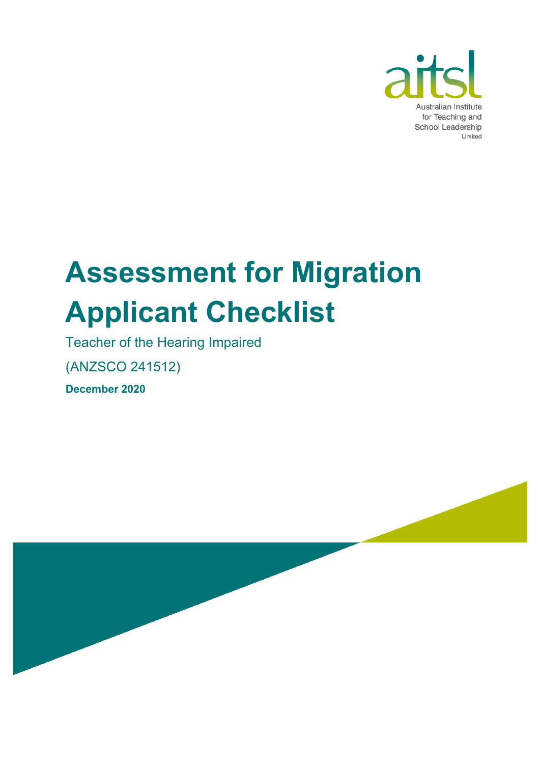

# **Assessment for Migration Applicant Checklist**

Teacher of the Hearing Impaired

(ANZSCO 241512)

**December 2020**

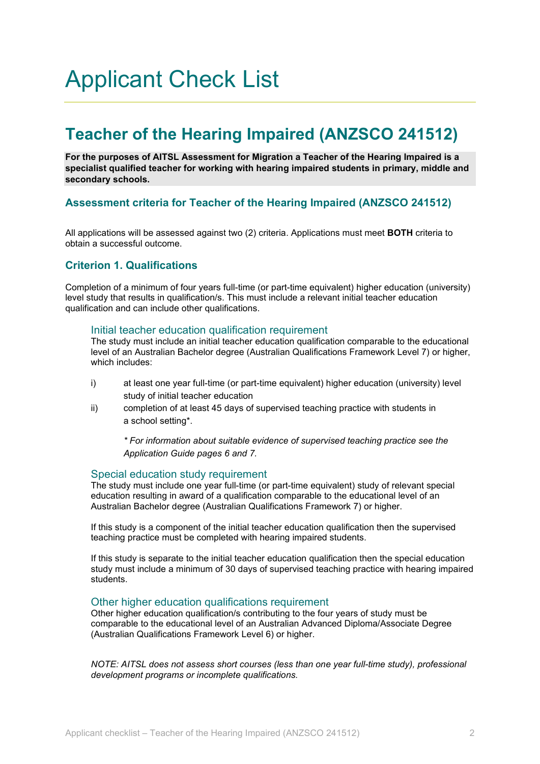# Applicant Check List

# **Teacher of the Hearing Impaired (ANZSCO 241512)**

**For the purposes of AITSL Assessment for Migration a Teacher of the Hearing Impaired is a specialist qualified teacher for working with hearing impaired students in primary, middle and secondary schools.** 

# **Assessment criteria for Teacher of the Hearing Impaired (ANZSCO 241512)**

All applications will be assessed against two (2) criteria. Applications must meet **BOTH** criteria to obtain a successful outcome.

# **Criterion 1. Qualifications**

Completion of a minimum of four years full-time (or part-time equivalent) higher education (university) level study that results in qualification/s. This must include a relevant initial teacher education qualification and can include other qualifications.

### Initial teacher education qualification requirement

The study must include an initial teacher education qualification comparable to the educational level of an Australian Bachelor degree (Australian Qualifications Framework Level 7) or higher, which includes:

- i) at least one year full-time (or part-time equivalent) higher education (university) level study of initial teacher education
- ii) completion of at least 45 days of supervised teaching practice with students in a school setting\*.

*\* For information about suitable evidence of supervised teaching practice see the Application Guide pages 6 and 7.*

### Special education study requirement

The study must include one year full-time (or part-time equivalent) study of relevant special education resulting in award of a qualification comparable to the educational level of an Australian Bachelor degree (Australian Qualifications Framework 7) or higher.

If this study is a component of the initial teacher education qualification then the supervised teaching practice must be completed with hearing impaired students.

If this study is separate to the initial teacher education qualification then the special education study must include a minimum of 30 days of supervised teaching practice with hearing impaired students.

### Other higher education qualifications requirement

Other higher education qualification/s contributing to the four years of study must be comparable to the educational level of an Australian Advanced Diploma/Associate Degree (Australian Qualifications Framework Level 6) or higher.

*NOTE: AITSL does not assess short courses (less than one year full-time study), professional development programs or incomplete qualifications.*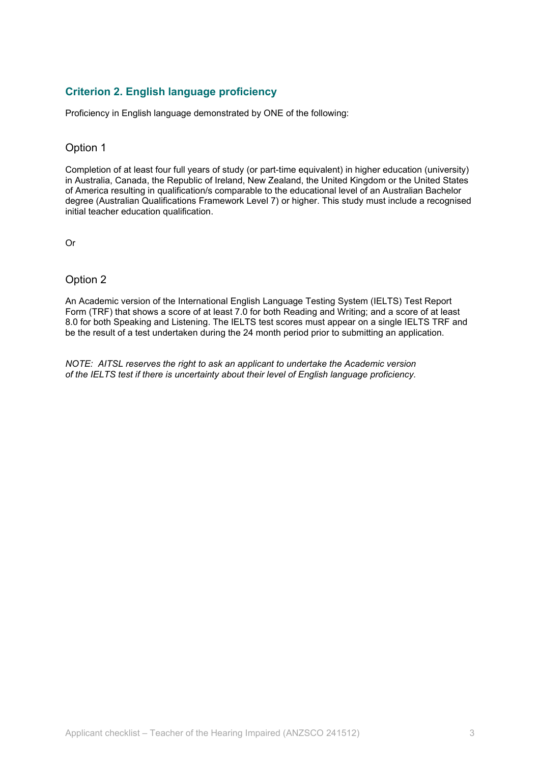# **Criterion 2. English language proficiency**

Proficiency in English language demonstrated by ONE of the following:

## Option 1

Completion of at least four full years of study (or part-time equivalent) in higher education (university) in Australia, Canada, the Republic of Ireland, New Zealand, the United Kingdom or the United States of America resulting in qualification/s comparable to the educational level of an Australian Bachelor degree (Australian Qualifications Framework Level 7) or higher. This study must include a recognised initial teacher education qualification.

Or

# Option 2

An Academic version of the International English Language Testing System (IELTS) Test Report Form (TRF) that shows a score of at least 7.0 for both Reading and Writing; and a score of at least 8.0 for both Speaking and Listening. The IELTS test scores must appear on a single IELTS TRF and be the result of a test undertaken during the 24 month period prior to submitting an application.

*NOTE: AITSL reserves the right to ask an applicant to undertake the Academic version of the IELTS test if there is uncertainty about their level of English language proficiency.*